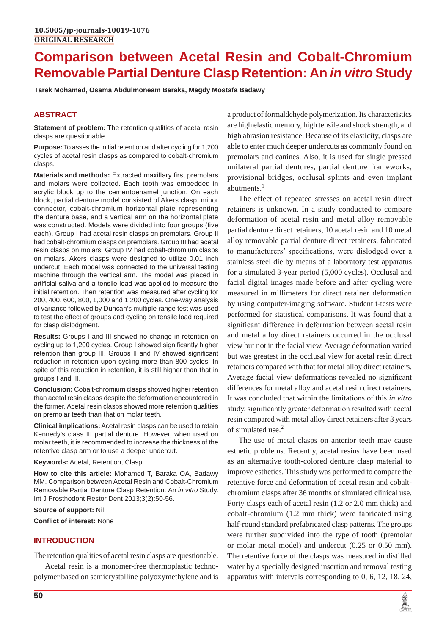# **Comparison between Acetal Resin and Cobalt-Chromium Removable Partial Denture Clasp Retention: An** *in vitro* **Study**

**Tarek Mohamed, Osama Abdulmoneam Baraka, Magdy Mostafa Badawy**

# **ABSTRACT**

**Statement of problem:** The retention qualities of acetal resin clasps are questionable.

**Purpose:** To asses the initial retention and after cycling for 1,200 cycles of acetal resin clasps as compared to cobalt-chromium clasps.

**Materials and methods:** Extracted maxillary first premolars and molars were collected. Each tooth was embedded in acrylic block up to the cementoenamel junction. On each block, partial denture model consisted of Akers clasp, minor connector, cobalt-chromium horizontal plate representing the denture base, and a vertical arm on the horizontal plate was constructed. Models were divided into four groups (five each). Group I had acetal resin clasps on premolars. Group II had cobalt-chromium clasps on premolars. Group III had acetal resin clasps on molars. Group IV had cobalt-chromium clasps on molars. Akers clasps were designed to utilize 0.01 inch undercut. Each model was connected to the universal testing machine through the vertical arm. The model was placed in artificial saliva and a tensile load was applied to measure the initial retention. Then retention was measured after cycling for 200, 400, 600, 800, 1,000 and 1,200 cycles. One-way analysis of variance followed by Duncan's multiple range test was used to test the effect of groups and cycling on tensile load required for clasp dislodgment.

**Results:** Groups I and III showed no change in retention on cycling up to 1,200 cycles. Group I showed significantly higher retention than group III. Groups II and IV showed significant reduction in retention upon cycling more than 800 cycles. In spite of this reduction in retention, it is still higher than that in groups I and III.

**Conclusion:** Cobalt-chromium clasps showed higher retention than acetal resin clasps despite the deformation encountered in the former. Acetal resin clasps showed more retention qualities on premolar teeth than that on molar teeth.

**Clinical implications:** Acetal resin clasps can be used to retain Kennedy's class III partial denture. However, when used on molar teeth, it is recommended to increase the thickness of the retentive clasp arm or to use a deeper undercut.

**Keywords:** Acetal, Retention, Clasp.

**How to cite this article:** Mohamed T, Baraka OA, Badawy MM. Comparison between Acetal Resin and Cobalt-Chromium Removable Partial Denture Clasp Retention: An *in vitro* Study. Int J Prosthodont Restor Dent 2013;3(2):50-56.

**Source of support:** Nil

**Conflict of interest:** None

## **INTRODUCTION**

The retention qualities of acetal resin clasps are questionable.

Acetal resin is a monomer-free thermoplastic technopolymer based on semicrystalline polyoxymethylene and is a product of formaldehyde polymerization. Its characteristics are high elastic memory, high tensile and shock strength, and high abrasion resistance. Because of its elasticity, clasps are able to enter much deeper undercuts as commonly found on premolars and canines. Also, it is used for single pressed unilateral partial dentures, partial denture frameworks, provisional bridges, occlusal splints and even implant abutments.<sup>1</sup>

The effect of repeated stresses on acetal resin direct retainers is unknown. In a study conducted to compare deformation of acetal resin and metal alloy removable partial denture direct retainers, 10 acetal resin and 10 metal alloy removable partial denture direct retainers, fabricated to manufacturers' specifications, were dislodged over a stainless steel die by means of a laboratory test apparatus for a simulated 3-year period (5,000 cycles). Occlusal and facial digital images made before and after cycling were measured in millimeters for direct retainer deformation by using computer-imaging software. Student t-tests were performed for statistical comparisons. It was found that a significant difference in deformation between acetal resin and metal alloy direct retainers occurred in the occlusal view but not in the facial view. Average deformation varied but was greatest in the occlusal view for acetal resin direct retainers compared with that for metal alloy direct retainers. Average facial view deformations revealed no significant differences for metal alloy and acetal resin direct retainers. It was concluded that within the limitations of this *in vitro*  study, significantly greater deformation resulted with acetal resin compared with metal alloy direct retainers after 3 years of simulated use.<sup>2</sup>

The use of metal clasps on anterior teeth may cause esthetic problems. Recently, acetal resins have been used as an alternative tooth-colored denture clasp material to improve esthetics. This study was performed to compare the retentive force and deformation of acetal resin and cobaltchromium clasps after 36 months of simulated clinical use. Forty clasps each of acetal resin (1.2 or 2.0 mm thick) and cobalt-chromium (1.2 mm thick) were fabricated using half-round standard prefabricated clasp patterns. The groups were further subdivided into the type of tooth (premolar or molar metal model) and undercut (0.25 or 0.50 mm). The retentive force of the clasps was measured in distilled water by a specially designed insertion and removal testing apparatus with intervals corresponding to 0, 6, 12, 18, 24,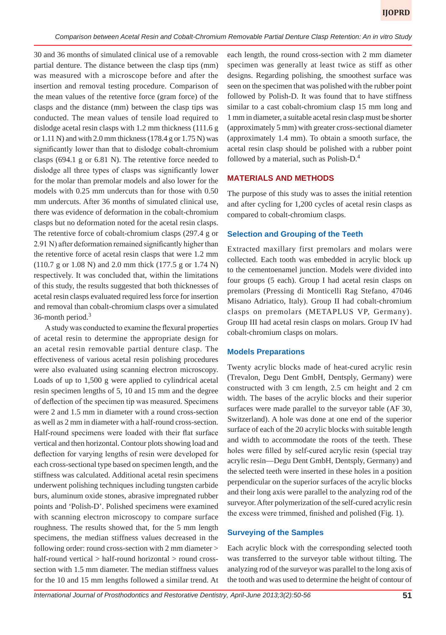30 and 36 months of simulated clinical use of a removable partial denture. The distance between the clasp tips (mm) was measured with a microscope before and after the insertion and removal testing procedure. Comparison of the mean values of the retentive force (gram force) of the clasps and the distance (mm) between the clasp tips was conducted. The mean values of tensile load required to dislodge acetal resin clasps with 1.2 mm thickness (111.6 g or 1.11 N) and with 2.0 mm thickness (178.4 g or 1.75 N) was significantly lower than that to dislodge cobalt-chromium clasps (694.1 g or 6.81 N). The retentive force needed to dislodge all three types of clasps was significantly lower for the molar than premolar models and also lower for the models with 0.25 mm undercuts than for those with 0.50 mm undercuts. After 36 months of simulated clinical use, there was evidence of deformation in the cobalt-chromium clasps but no deformation noted for the acetal resin clasps. The retentive force of cobalt-chromium clasps (297.4 g or 2.91 N) after deformation remained significantly higher than the retentive force of acetal resin clasps that were 1.2 mm (110.7 g or 1.08 N) and 2.0 mm thick (177.5 g or 1.74 N) respectively. It was concluded that, within the limitations of this study, the results suggested that both thicknesses of acetal resin clasps evaluated required less force for insertion and removal than cobalt-chromium clasps over a simulated  $36$ -month period.<sup>3</sup>

A study was conducted to examine the flexural properties of acetal resin to determine the appropriate design for an acetal resin removable partial denture clasp. The effectiveness of various acetal resin polishing procedures were also evaluated using scanning electron microscopy. Loads of up to 1,500 g were applied to cylindrical acetal resin specimen lengths of 5, 10 and 15 mm and the degree of deflection of the specimen tip was measured. Specimens were 2 and 1.5 mm in diameter with a round cross-section as well as 2 mm in diameter with a half-round cross-section. Half-round specimens were loaded with their flat surface vertical and then horizontal. Contour plots showing load and deflection for varying lengths of resin were developed for each cross-sectional type based on specimen length, and the stiffness was calculated. Additional acetal resin specimens underwent polishing techniques including tungsten carbide burs, aluminum oxide stones, abrasive impregnated rubber points and 'Polish-D'. Polished specimens were examined with scanning electron microscopy to compare surface roughness. The results showed that, for the 5 mm length specimens, the median stiffness values decreased in the following order: round cross-section with 2 mm diameter > half-round vertical > half-round horizontal > round crosssection with 1.5 mm diameter. The median stiffness values for the 10 and 15 mm lengths followed a similar trend. At each length, the round cross-section with 2 mm diameter specimen was generally at least twice as stiff as other designs. Regarding polishing, the smoothest surface was seen on the specimen that was polished with the rubber point followed by Polish-D. It was found that to have stiffness similar to a cast cobalt-chromium clasp 15 mm long and 1 mm in diameter, a suitable acetal resin clasp must be shorter (approximately 5 mm) with greater cross-sectional diameter (approximately 1.4 mm). To obtain a smooth surface, the acetal resin clasp should be polished with a rubber point followed by a material, such as Polish-D.<sup>4</sup>

#### **MATERIALS AND METHODS**

The purpose of this study was to asses the initial retention and after cycling for 1,200 cycles of acetal resin clasps as compared to cobalt-chromium clasps.

#### **Selection and Grouping of the Teeth**

Extracted maxillary first premolars and molars were collected. Each tooth was embedded in acrylic block up to the cementoenamel junction. Models were divided into four groups (5 each). Group I had acetal resin clasps on premolars (Pressing di Monticelli Rag Stefano, 47046 Misano Adriatico, Italy). Group II had cobalt-chromium clasps on premolars (METAPLUS VP, Germany). Group III had acetal resin clasps on molars. Group IV had cobalt-chromium clasps on molars.

#### **Models Preparations**

Twenty acrylic blocks made of heat-cured acrylic resin (Trevalon, Degu Dent GmbH, Dentsply, Germany) were constructed with 3 cm length, 2.5 cm height and 2 cm width. The bases of the acrylic blocks and their superior surfaces were made parallel to the surveyor table (AF 30, Switzerland). A hole was done at one end of the superior surface of each of the 20 acrylic blocks with suitable length and width to accommodate the roots of the teeth. These holes were filled by self-cured acrylic resin (special tray acrylic resin—Degu Dent GmbH, Dentsply, Germany) and the selected teeth were inserted in these holes in a position perpendicular on the superior surfaces of the acrylic blocks and their long axis were parallel to the analyzing rod of the surveyor. After polymerization of the self-cured acrylic resin the excess were trimmed, finished and polished (Fig. 1).

#### **Surveying of the Samples**

Each acrylic block with the corresponding selected tooth was transferred to the surveyor table without tilting. The analyzing rod of the surveyor was parallel to the long axis of the tooth and was used to determine the height of contour of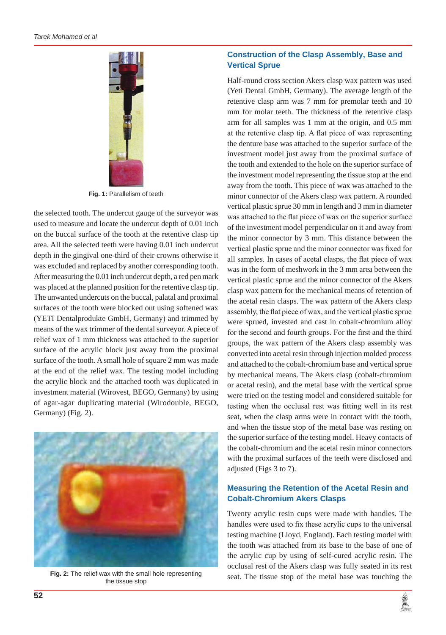

**Fig. 1:** Parallelism of teeth

the selected tooth. The undercut gauge of the surveyor was used to measure and locate the undercut depth of 0.01 inch on the buccal surface of the tooth at the retentive clasp tip area. All the selected teeth were having 0.01 inch undercut depth in the gingival one-third of their crowns otherwise it was excluded and replaced by another corresponding tooth. After measuring the 0.01 inch undercut depth, a red pen mark was placed at the planned position for the retentive clasp tip. The unwanted undercuts on the buccal, palatal and proximal surfaces of the tooth were blocked out using softened wax (YETI Dentalprodukte GmbH, Germany) and trimmed by means of the wax trimmer of the dental surveyor. A piece of relief wax of 1 mm thickness was attached to the superior surface of the acrylic block just away from the proximal surface of the tooth. A small hole of square 2 mm was made at the end of the relief wax. The testing model including the acrylic block and the attached tooth was duplicated in investment material (Wirovest, BEGO, Germany) by using of agar-agar duplicating material (Wirodouble, BEGO, Germany) (Fig. 2).



**Fig. 2:** The relief wax with the small hole representing the tissue stop

## **Construction of the Clasp Assembly, Base and Vertical Sprue**

Half-round cross section Akers clasp wax pattern was used (Yeti Dental GmbH, Germany). The average length of the retentive clasp arm was 7 mm for premolar teeth and 10 mm for molar teeth. The thickness of the retentive clasp arm for all samples was 1 mm at the origin, and 0.5 mm at the retentive clasp tip. A flat piece of wax representing the denture base was attached to the superior surface of the investment model just away from the proximal surface of the tooth and extended to the hole on the superior surface of the investment model representing the tissue stop at the end away from the tooth. This piece of wax was attached to the minor connector of the Akers clasp wax pattern. A rounded vertical plastic sprue 30 mm in length and 3 mm in diameter was attached to the flat piece of wax on the superior surface of the investment model perpendicular on it and away from the minor connector by 3 mm. This distance between the vertical plastic sprue and the minor connector was fixed for all samples. In cases of acetal clasps, the flat piece of wax was in the form of meshwork in the 3 mm area between the vertical plastic sprue and the minor connector of the Akers clasp wax pattern for the mechanical means of retention of the acetal resin clasps. The wax pattern of the Akers clasp assembly, the flat piece of wax, and the vertical plastic sprue were sprued, invested and cast in cobalt-chromium alloy for the second and fourth groups. For the first and the third groups, the wax pattern of the Akers clasp assembly was converted into acetal resin through injection molded process and attached to the cobalt-chromium base and vertical sprue by mechanical means. The Akers clasp (cobalt-chromium or acetal resin), and the metal base with the vertical sprue were tried on the testing model and considered suitable for testing when the occlusal rest was fitting well in its rest seat, when the clasp arms were in contact with the tooth, and when the tissue stop of the metal base was resting on the superior surface of the testing model. Heavy contacts of the cobalt-chromium and the acetal resin minor connectors with the proximal surfaces of the teeth were disclosed and adjusted (Figs 3 to 7).

## **Measuring the Retention of the Acetal Resin and Cobalt-Chromium Akers Clasps**

Twenty acrylic resin cups were made with handles. The handles were used to fix these acrylic cups to the universal testing machine (Lloyd, England). Each testing model with the tooth was attached from its base to the base of one of the acrylic cup by using of self-cured acrylic resin. The occlusal rest of the Akers clasp was fully seated in its rest seat. The tissue stop of the metal base was touching the

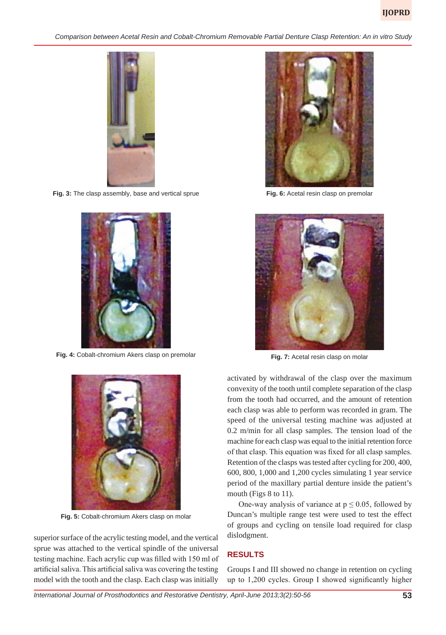*Comparison between Acetal Resin and Cobalt-Chromium Removable Partial Denture Clasp Retention: An in vitro Study*



**Fig. 3:** The clasp assembly, base and vertical sprue



**Fig. 4:** Cobalt-chromium Akers clasp on premolar



**Fig. 5:** Cobalt-chromium Akers clasp on molar

superior surface of the acrylic testing model, and the vertical sprue was attached to the vertical spindle of the universal testing machine. Each acrylic cup was filled with 150 ml of artificial saliva. This artificial saliva was covering the testing model with the tooth and the clasp. Each clasp was initially



**Fig. 6:** Acetal resin clasp on premolar



**Fig. 7:** Acetal resin clasp on molar

activated by withdrawal of the clasp over the maximum convexity of the tooth until complete separation of the clasp from the tooth had occurred, and the amount of retention each clasp was able to perform was recorded in gram. The speed of the universal testing machine was adjusted at 0.2 m/min for all clasp samples. The tension load of the machine for each clasp was equal to the initial retention force of that clasp. This equation was fixed for all clasp samples. Retention of the clasps was tested after cycling for 200, 400, 600, 800, 1,000 and 1,200 cycles simulating 1 year service period of the maxillary partial denture inside the patient's mouth (Figs 8 to 11).

One-way analysis of variance at  $p \le 0.05$ , followed by Duncan's multiple range test were used to test the effect of groups and cycling on tensile load required for clasp dislodgment.

## **RESULTS**

Groups I and III showed no change in retention on cycling up to 1,200 cycles. Group I showed significantly higher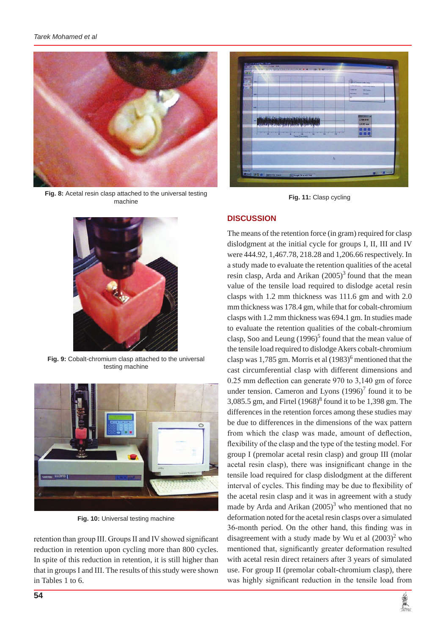

**Fig. 8:** Acetal resin clasp attached to the universal testing machine



**Fig. 9:** Cobalt-chromium clasp attached to the universal testing machine



**Fig. 10:** Universal testing machine

retention than group III. Groups II and IV showed significant reduction in retention upon cycling more than 800 cycles. In spite of this reduction in retention, it is still higher than that in groups I and III. The results of this study were shown in Tables 1 to 6.



**Fig. 11:** Clasp cycling

## **DISCUSSION**

The means of the retention force (in gram) required for clasp dislodgment at the initial cycle for groups I, II, III and IV were 444.92, 1,467.78, 218.28 and 1,206.66 respectively. In a study made to evaluate the retention qualities of the acetal resin clasp, Arda and Arikan  $(2005)^3$  found that the mean value of the tensile load required to dislodge acetal resin clasps with 1.2 mm thickness was 111.6 gm and with 2.0 mm thickness was 178.4 gm, while that for cobalt-chromium clasps with 1.2 mm thickness was 694.1 gm. In studies made to evaluate the retention qualities of the cobalt-chromium clasp, Soo and Leung  $(1996)^5$  found that the mean value of the tensile load required to dislodge Akers cobalt-chromium clasp was 1,785 gm. Morris et al  $(1983)^6$  mentioned that the cast circumferential clasp with different dimensions and 0.25 mm deflection can generate 970 to 3,140 gm of force under tension. Cameron and Lyons  $(1996)^7$  found it to be 3,085.5 gm, and Firtel  $(1968)^{8}$  found it to be 1,398 gm. The differences in the retention forces among these studies may be due to differences in the dimensions of the wax pattern from which the clasp was made, amount of deflection, flexibility of the clasp and the type of the testing model. For group I (premolar acetal resin clasp) and group III (molar acetal resin clasp), there was insignificant change in the tensile load required for clasp dislodgment at the different interval of cycles. This finding may be due to flexibility of the acetal resin clasp and it was in agreement with a study made by Arda and Arikan  $(2005)^3$  who mentioned that no deformation noted for the acetal resin clasps over a simulated 36-month period. On the other hand, this finding was in disagreement with a study made by Wu et al  $(2003)^2$  who mentioned that, significantly greater deformation resulted with acetal resin direct retainers after 3 years of simulated use. For group II (premolar cobalt-chromium clasp), there was highly significant reduction in the tensile load from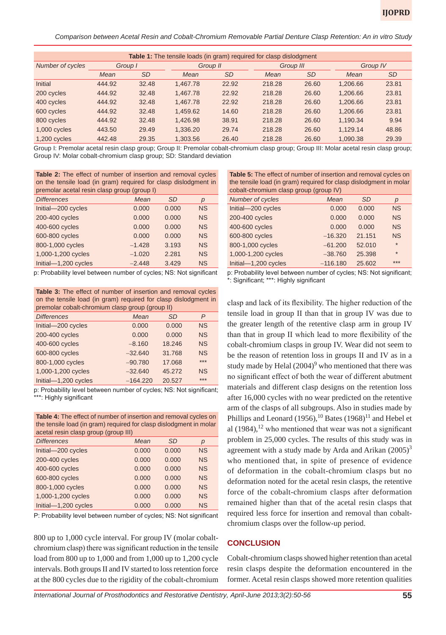*Comparison between Acetal Resin and Cobalt-Chromium Removable Partial Denture Clasp Retention: An in vitro Study*

| Table 1: The tensile loads (in gram) required for clasp dislodgment |         |       |          |           |           |           |          |       |  |
|---------------------------------------------------------------------|---------|-------|----------|-----------|-----------|-----------|----------|-------|--|
| Number of cycles                                                    | Group I |       | Group II |           | Group III |           | Group IV |       |  |
|                                                                     | Mean    | SD.   | Mean     | <b>SD</b> | Mean      | <b>SD</b> | Mean     | SD.   |  |
| Initial                                                             | 444.92  | 32.48 | 1.467.78 | 22.92     | 218.28    | 26.60     | 1.206.66 | 23.81 |  |
| 200 cycles                                                          | 444.92  | 32.48 | 1.467.78 | 22.92     | 218.28    | 26.60     | 1.206.66 | 23.81 |  |
| 400 cycles                                                          | 444.92  | 32.48 | 1.467.78 | 22.92     | 218.28    | 26.60     | 1.206.66 | 23.81 |  |
| 600 cycles                                                          | 444.92  | 32.48 | 1,459.62 | 14.60     | 218.28    | 26.60     | 1.206.66 | 23.81 |  |
| 800 cycles                                                          | 444.92  | 32.48 | 1.426.98 | 38.91     | 218.28    | 26.60     | 1.190.34 | 9.94  |  |
| 1,000 cycles                                                        | 443.50  | 29.49 | 1.336.20 | 29.74     | 218.28    | 26.60     | 1.129.14 | 48.86 |  |
| 1,200 cycles                                                        | 442.48  | 29.35 | 1,303.56 | 26.40     | 218.28    | 26.60     | 1,090.38 | 29.39 |  |

Group I: Premolar acetal resin clasp group; Group II: Premolar cobalt-chromium clasp group; Group III: Molar acetal resin clasp group; Group IV: Molar cobalt-chromium clasp group; SD: Standard deviation

**Table 2:** The effect of number of insertion and removal cycles on the tensile load (in gram) required for clasp dislodgment in premolar acetal resin clasp group (group I)

| <b>Differences</b>   | Mean     | <b>SD</b> | р         |
|----------------------|----------|-----------|-----------|
| Initial-200 cycles   | 0.000    | 0.000     | <b>NS</b> |
| 200-400 cycles       | 0.000    | 0.000     | <b>NS</b> |
| 400-600 cycles       | 0.000    | 0.000     | <b>NS</b> |
| 600-800 cycles       | 0.000    | 0.000     | <b>NS</b> |
| 800-1,000 cycles     | $-1.428$ | 3.193     | <b>NS</b> |
| 1,000-1,200 cycles   | $-1.020$ | 2.281     | <b>NS</b> |
| Initial-1,200 cycles | $-2.448$ | 3.429     | <b>NS</b> |

p: Probability level between number of cycles; NS: Not significant

**Table 3:** The effect of number of insertion and removal cycles on the tensile load (in gram) required for clasp dislodgment in premolar cobalt-chromium clasp group (group II)

| <b>Differences</b>   | Mean       | <b>SD</b> | P         |
|----------------------|------------|-----------|-----------|
| Initial-200 cycles   | 0.000      | 0.000     | <b>NS</b> |
| 200-400 cycles       | 0.000      | 0.000     | <b>NS</b> |
| 400-600 cycles       | $-8.160$   | 18.246    | <b>NS</b> |
| 600-800 cycles       | $-32.640$  | 31.768    | <b>NS</b> |
| 800-1,000 cycles     | $-90.780$  | 17.068    | $***$     |
| 1,000-1,200 cycles   | $-32.640$  | 45.272    | <b>NS</b> |
| Initial-1,200 cycles | $-164.220$ | 20.527    | $***$     |

p: Probability level between number of cycles; NS: Not significant; \*\*: Highly significant

**Table 4:** The effect of number of insertion and removal cycles on the tensile load (in gram) required for clasp dislodgment in molar acetal resin clasp group (group III)

| <b>Differences</b>   | Mean  | <b>SD</b> | р         |
|----------------------|-------|-----------|-----------|
| Initial-200 cycles   | 0.000 | 0.000     | <b>NS</b> |
| 200-400 cycles       | 0.000 | 0.000     | <b>NS</b> |
| 400-600 cycles       | 0.000 | 0.000     | <b>NS</b> |
| 600-800 cycles       | 0.000 | 0.000     | <b>NS</b> |
| 800-1,000 cycles     | 0.000 | 0.000     | <b>NS</b> |
| 1,000-1,200 cycles   | 0.000 | 0.000     | <b>NS</b> |
| Initial-1,200 cycles | 0.000 | 0.000     | <b>NS</b> |

P: Probability level between number of cycles; NS: Not significant

800 up to 1,000 cycle interval. For group IV (molar cobaltchromium clasp) there was significant reduction in the tensile load from 800 up to 1,000 and from 1,000 up to 1,200 cycle intervals. Both groups II and IV started to loss retention force at the 800 cycles due to the rigidity of the cobalt-chromium

| <b>Table 5:</b> The effect of number of insertion and removal cycles on |
|-------------------------------------------------------------------------|
| the tensile load (in gram) required for clasp dislodgment in molar      |
| cobalt-chromium clasp group (group IV)                                  |

| oopan omoniidiii oldop group (group iv) |            |           |           |  |  |  |  |  |  |
|-----------------------------------------|------------|-----------|-----------|--|--|--|--|--|--|
| Number of cycles                        | Mean       | <b>SD</b> | р         |  |  |  |  |  |  |
| Initial-200 cycles                      | 0.000      | 0.000     | <b>NS</b> |  |  |  |  |  |  |
| 200-400 cycles                          | 0.000      | 0.000     | <b>NS</b> |  |  |  |  |  |  |
| 400-600 cycles                          | 0.000      | 0.000     | <b>NS</b> |  |  |  |  |  |  |
| 600-800 cycles                          | $-16.320$  | 21.151    | <b>NS</b> |  |  |  |  |  |  |
| 800-1,000 cycles                        | $-61,200$  | 52.010    | $\star$   |  |  |  |  |  |  |
| 1,000-1,200 cycles                      | $-38.760$  | 25.398    | $\star$   |  |  |  |  |  |  |
| Initial-1,200 cycles                    | $-116.180$ | 25.602    | $***$     |  |  |  |  |  |  |
|                                         |            |           |           |  |  |  |  |  |  |

p: Probability level between number of cycles; NS: Not significant; \*: Significant; \*\*\*: Highly significant

clasp and lack of its flexibility. The higher reduction of the tensile load in group II than that in group IV was due to the greater length of the retentive clasp arm in group IV than that in group II which lead to more flexibility of the cobalt-chromium clasps in group IV. Wear did not seem to be the reason of retention loss in groups II and IV as in a study made by Helal  $(2004)^9$  who mentioned that there was no significant effect of both the wear of different abutment materials and different clasp designs on the retention loss after 16,000 cycles with no wear predicted on the retentive arm of the clasps of all subgroups. Also in studies made by Phillips and Leonard (1956),<sup>10</sup> Bates (1968)<sup>11</sup> and Hebel et al  $(1984)$ ,  $^{12}$  who mentioned that wear was not a significant problem in 25,000 cycles. The results of this study was in agreement with a study made by Arda and Arikan  $(2005)^3$ who mentioned that, in spite of presence of evidence of deformation in the cobalt-chromium clasps but no deformation noted for the acetal resin clasps, the retentive force of the cobalt-chromium clasps after deformation remained higher than that of the acetal resin clasps that required less force for insertion and removal than cobaltchromium clasps over the follow-up period.

### **CONCLUSION**

Cobalt-chromium clasps showed higher retention than acetal resin clasps despite the deformation encountered in the former. Acetal resin clasps showed more retention qualities